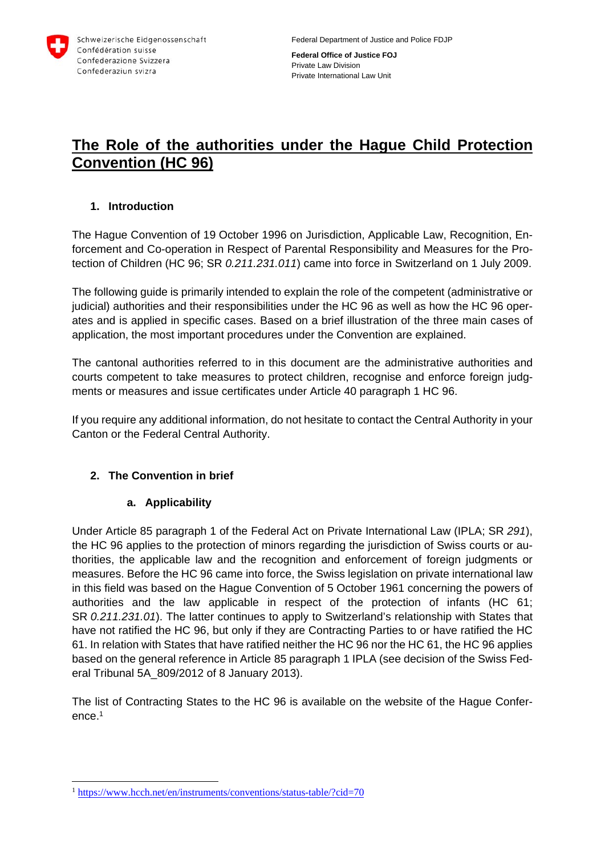

**Federal Office of Justice FOJ**  Private Law Division Private International Law Unit

# **The Role of the authorities under the Hague Child Protection Convention (HC 96)**

#### **1. Introduction**

The Hague Convention of 19 October 1996 on Jurisdiction, Applicable Law, Recognition, Enforcement and Co-operation in Respect of Parental Responsibility and Measures for the Protection of Children (HC 96; SR *0.211.231.011*) came into force in Switzerland on 1 July 2009.

The following guide is primarily intended to explain the role of the competent (administrative or judicial) authorities and their responsibilities under the HC 96 as well as how the HC 96 operates and is applied in specific cases. Based on a brief illustration of the three main cases of application, the most important procedures under the Convention are explained.

The cantonal authorities referred to in this document are the administrative authorities and courts competent to take measures to protect children, recognise and enforce foreign judgments or measures and issue certificates under Article 40 paragraph 1 HC 96.

If you require any additional information, do not hesitate to contact the Central Authority in your Canton or the Federal Central Authority.

#### **2. The Convention in brief**

#### **a. Applicability**

Under Article 85 paragraph 1 of the Federal Act on Private International Law (IPLA; SR *291*), the HC 96 applies to the protection of minors regarding the jurisdiction of Swiss courts or authorities, the applicable law and the recognition and enforcement of foreign judgments or measures. Before the HC 96 came into force, the Swiss legislation on private international law in this field was based on the Hague Convention of 5 October 1961 concerning the powers of authorities and the law applicable in respect of the protection of infants (HC 61; SR *0.211.231.01*). The latter continues to apply to Switzerland's relationship with States that have not ratified the HC 96, but only if they are Contracting Parties to or have ratified the HC 61. In relation with States that have ratified neither the HC 96 nor the HC 61, the HC 96 applies based on the general reference in Article 85 paragraph 1 IPLA (see decision of the Swiss Federal Tribunal 5A\_809/2012 of 8 January 2013).

The list of Contracting States to the HC 96 is available on the website of the Hague Conference.1

 $\overline{a}$ 

<sup>&</sup>lt;sup>1</sup> https://www.hcch.net/en/instruments/conventions/status-table/?cid=70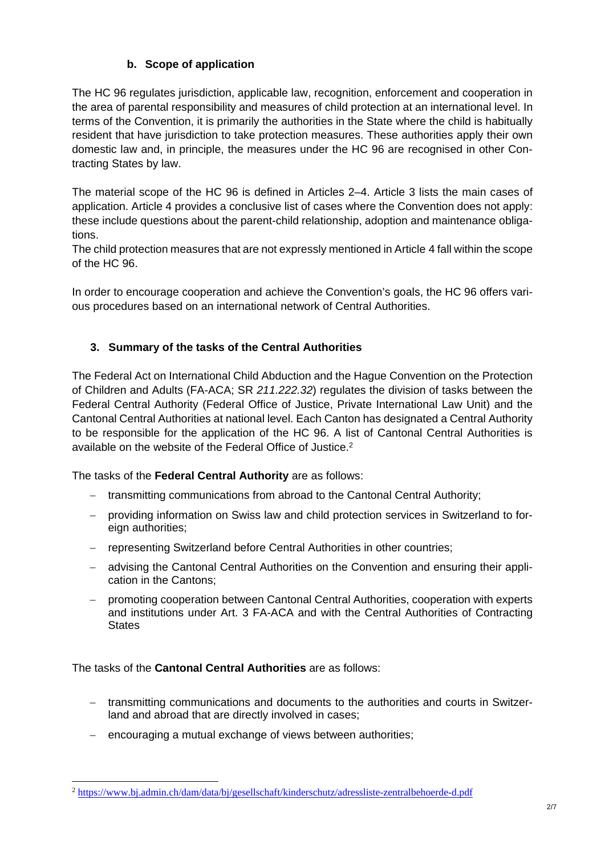# **b. Scope of application**

The HC 96 regulates jurisdiction, applicable law, recognition, enforcement and cooperation in the area of parental responsibility and measures of child protection at an international level. In terms of the Convention, it is primarily the authorities in the State where the child is habitually resident that have jurisdiction to take protection measures. These authorities apply their own domestic law and, in principle, the measures under the HC 96 are recognised in other Contracting States by law.

The material scope of the HC 96 is defined in Articles 2–4. Article 3 lists the main cases of application. Article 4 provides a conclusive list of cases where the Convention does not apply: these include questions about the parent-child relationship, adoption and maintenance obligations.

The child protection measures that are not expressly mentioned in Article 4 fall within the scope of the HC 96.

In order to encourage cooperation and achieve the Convention's goals, the HC 96 offers various procedures based on an international network of Central Authorities.

# **3. Summary of the tasks of the Central Authorities**

The Federal Act on International Child Abduction and the Hague Convention on the Protection of Children and Adults (FA-ACA; SR *211.222.32*) regulates the division of tasks between the Federal Central Authority (Federal Office of Justice, Private International Law Unit) and the Cantonal Central Authorities at national level. Each Canton has designated a Central Authority to be responsible for the application of the HC 96. A list of Cantonal Central Authorities is available on the website of the Federal Office of Justice.<sup>2</sup>

The tasks of the **Federal Central Authority** are as follows:

- transmitting communications from abroad to the Cantonal Central Authority;
- providing information on Swiss law and child protection services in Switzerland to foreign authorities;
- representing Switzerland before Central Authorities in other countries;
- advising the Cantonal Central Authorities on the Convention and ensuring their application in the Cantons;
- promoting cooperation between Cantonal Central Authorities, cooperation with experts and institutions under Art. 3 FA-ACA and with the Central Authorities of Contracting **States**

The tasks of the **Cantonal Central Authorities** are as follows:

- transmitting communications and documents to the authorities and courts in Switzerland and abroad that are directly involved in cases;
- encouraging a mutual exchange of views between authorities;

 $\overline{a}$ <sup>2</sup> https://www.bj.admin.ch/dam/data/bj/gesellschaft/kinderschutz/adressliste-zentralbehoerde-d.pdf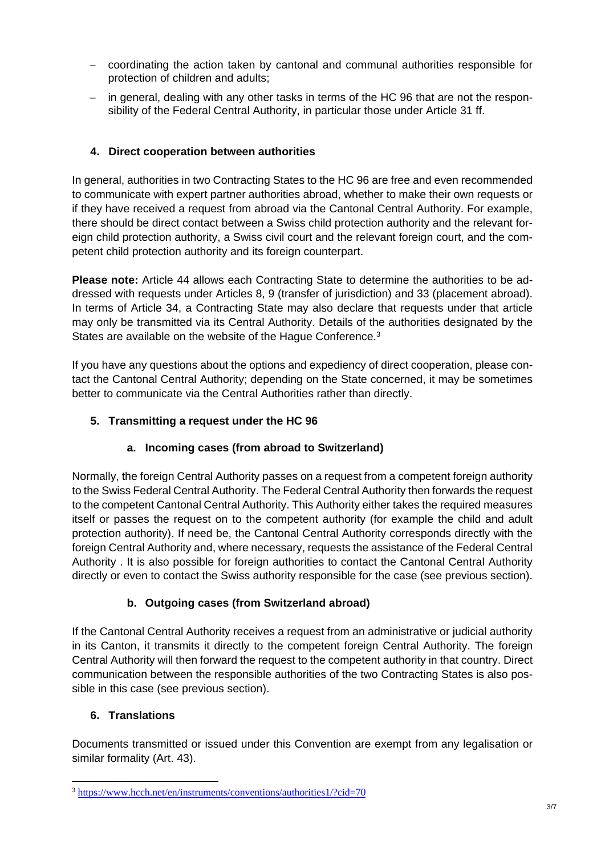- coordinating the action taken by cantonal and communal authorities responsible for protection of children and adults;
- $-$  in general, dealing with any other tasks in terms of the HC 96 that are not the responsibility of the Federal Central Authority, in particular those under Article 31 ff.

## **4. Direct cooperation between authorities**

In general, authorities in two Contracting States to the HC 96 are free and even recommended to communicate with expert partner authorities abroad, whether to make their own requests or if they have received a request from abroad via the Cantonal Central Authority. For example, there should be direct contact between a Swiss child protection authority and the relevant foreign child protection authority, a Swiss civil court and the relevant foreign court, and the competent child protection authority and its foreign counterpart.

**Please note:** Article 44 allows each Contracting State to determine the authorities to be addressed with requests under Articles 8, 9 (transfer of jurisdiction) and 33 (placement abroad). In terms of Article 34, a Contracting State may also declare that requests under that article may only be transmitted via its Central Authority. Details of the authorities designated by the States are available on the website of the Haque Conference.<sup>3</sup>

If you have any questions about the options and expediency of direct cooperation, please contact the Cantonal Central Authority; depending on the State concerned, it may be sometimes better to communicate via the Central Authorities rather than directly.

## **5. Transmitting a request under the HC 96**

# **a. Incoming cases (from abroad to Switzerland)**

Normally, the foreign Central Authority passes on a request from a competent foreign authority to the Swiss Federal Central Authority. The Federal Central Authority then forwards the request to the competent Cantonal Central Authority. This Authority either takes the required measures itself or passes the request on to the competent authority (for example the child and adult protection authority). If need be, the Cantonal Central Authority corresponds directly with the foreign Central Authority and, where necessary, requests the assistance of the Federal Central Authority . It is also possible for foreign authorities to contact the Cantonal Central Authority directly or even to contact the Swiss authority responsible for the case (see previous section).

#### **b. Outgoing cases (from Switzerland abroad)**

If the Cantonal Central Authority receives a request from an administrative or judicial authority in its Canton, it transmits it directly to the competent foreign Central Authority. The foreign Central Authority will then forward the request to the competent authority in that country. Direct communication between the responsible authorities of the two Contracting States is also possible in this case (see previous section).

#### **6. Translations**

 $\overline{a}$ 

Documents transmitted or issued under this Convention are exempt from any legalisation or similar formality (Art. 43).

<sup>3</sup> https://www.hcch.net/en/instruments/conventions/authorities1/?cid=70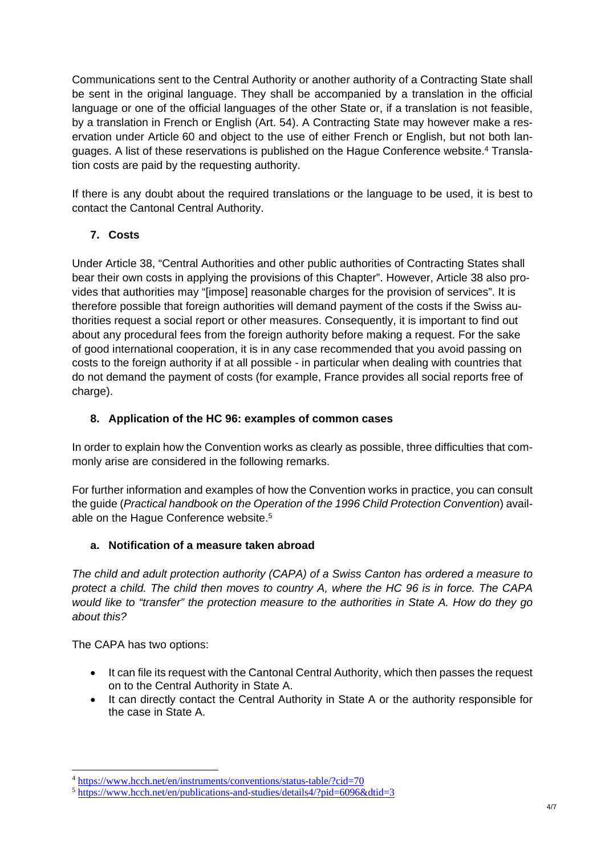Communications sent to the Central Authority or another authority of a Contracting State shall be sent in the original language. They shall be accompanied by a translation in the official language or one of the official languages of the other State or, if a translation is not feasible, by a translation in French or English (Art. 54). A Contracting State may however make a reservation under Article 60 and object to the use of either French or English, but not both languages. A list of these reservations is published on the Hague Conference website.4 Translation costs are paid by the requesting authority.

If there is any doubt about the required translations or the language to be used, it is best to contact the Cantonal Central Authority.

# **7. Costs**

Under Article 38, "Central Authorities and other public authorities of Contracting States shall bear their own costs in applying the provisions of this Chapter". However, Article 38 also provides that authorities may "[impose] reasonable charges for the provision of services". It is therefore possible that foreign authorities will demand payment of the costs if the Swiss authorities request a social report or other measures. Consequently, it is important to find out about any procedural fees from the foreign authority before making a request. For the sake of good international cooperation, it is in any case recommended that you avoid passing on costs to the foreign authority if at all possible - in particular when dealing with countries that do not demand the payment of costs (for example, France provides all social reports free of charge).

## **8. Application of the HC 96: examples of common cases**

In order to explain how the Convention works as clearly as possible, three difficulties that commonly arise are considered in the following remarks.

For further information and examples of how the Convention works in practice, you can consult the guide (*Practical handbook on the Operation of the 1996 Child Protection Convention*) available on the Hague Conference website.<sup>5</sup>

#### **a. Notification of a measure taken abroad**

*The child and adult protection authority (CAPA) of a Swiss Canton has ordered a measure to protect a child. The child then moves to country A, where the HC 96 is in force. The CAPA would like to "transfer" the protection measure to the authorities in State A. How do they go about this?* 

The CAPA has two options:

-

- It can file its request with the Cantonal Central Authority, which then passes the request on to the Central Authority in State A.
- It can directly contact the Central Authority in State A or the authority responsible for the case in State A.

 $4 \frac{\text{https://www.hech.net/en/instruments/conventions/status-table?cid=70}}{\text{https://www.hech.net/en/publications-and-studies/details4/?pid=6096&did=3}}$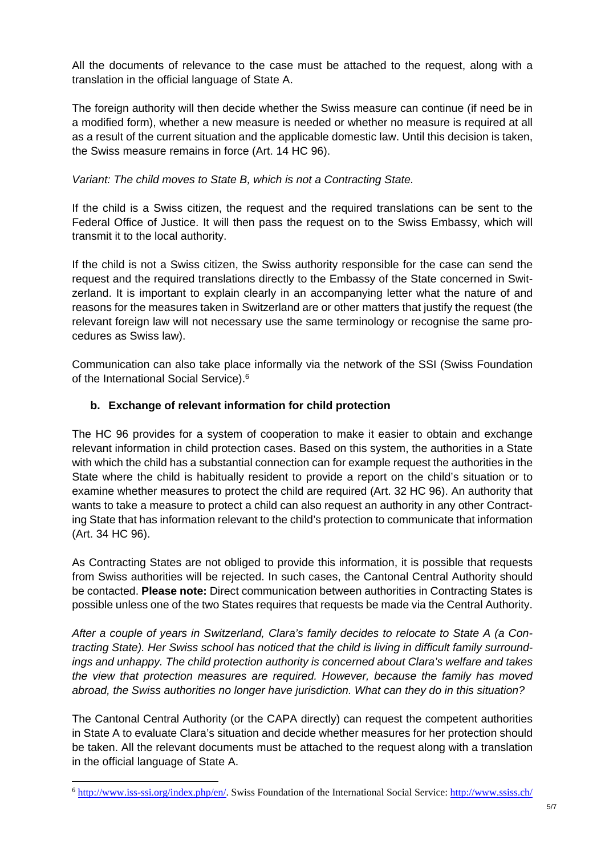All the documents of relevance to the case must be attached to the request, along with a translation in the official language of State A.

The foreign authority will then decide whether the Swiss measure can continue (if need be in a modified form), whether a new measure is needed or whether no measure is required at all as a result of the current situation and the applicable domestic law. Until this decision is taken, the Swiss measure remains in force (Art. 14 HC 96).

*Variant: The child moves to State B, which is not a Contracting State.* 

If the child is a Swiss citizen, the request and the required translations can be sent to the Federal Office of Justice. It will then pass the request on to the Swiss Embassy, which will transmit it to the local authority.

If the child is not a Swiss citizen, the Swiss authority responsible for the case can send the request and the required translations directly to the Embassy of the State concerned in Switzerland. It is important to explain clearly in an accompanying letter what the nature of and reasons for the measures taken in Switzerland are or other matters that justify the request (the relevant foreign law will not necessary use the same terminology or recognise the same procedures as Swiss law).

Communication can also take place informally via the network of the SSI (Swiss Foundation of the International Social Service).6

## **b. Exchange of relevant information for child protection**

The HC 96 provides for a system of cooperation to make it easier to obtain and exchange relevant information in child protection cases. Based on this system, the authorities in a State with which the child has a substantial connection can for example request the authorities in the State where the child is habitually resident to provide a report on the child's situation or to examine whether measures to protect the child are required (Art. 32 HC 96). An authority that wants to take a measure to protect a child can also request an authority in any other Contracting State that has information relevant to the child's protection to communicate that information (Art. 34 HC 96).

As Contracting States are not obliged to provide this information, it is possible that requests from Swiss authorities will be rejected. In such cases, the Cantonal Central Authority should be contacted. **Please note:** Direct communication between authorities in Contracting States is possible unless one of the two States requires that requests be made via the Central Authority.

*After a couple of years in Switzerland, Clara's family decides to relocate to State A (a Contracting State). Her Swiss school has noticed that the child is living in difficult family surroundings and unhappy. The child protection authority is concerned about Clara's welfare and takes the view that protection measures are required. However, because the family has moved abroad, the Swiss authorities no longer have jurisdiction. What can they do in this situation?* 

The Cantonal Central Authority (or the CAPA directly) can request the competent authorities in State A to evaluate Clara's situation and decide whether measures for her protection should be taken. All the relevant documents must be attached to the request along with a translation in the official language of State A.

 $\overline{a}$ 

<sup>6</sup> http://www.iss-ssi.org/index.php/en/. Swiss Foundation of the International Social Service: http://www.ssiss.ch/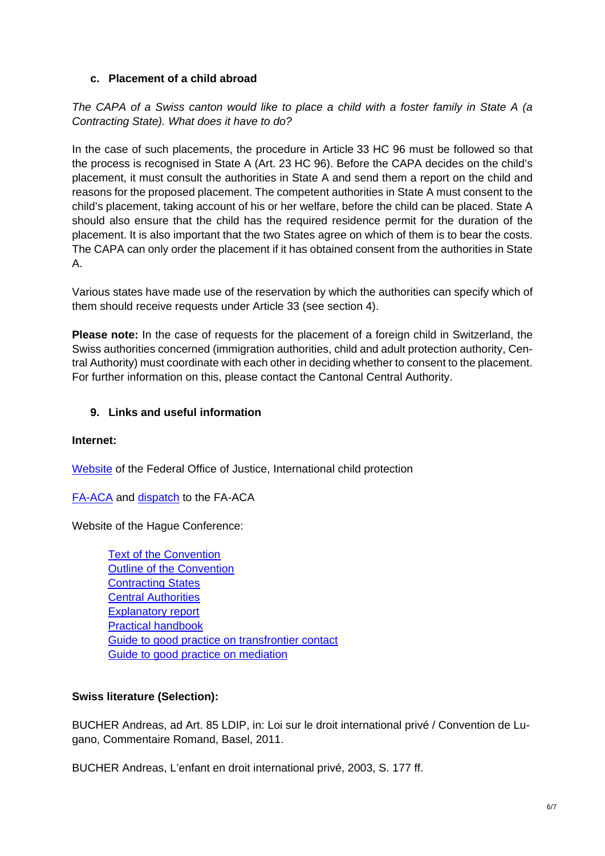#### **c. Placement of a child abroad**

*The CAPA of a Swiss canton would like to place a child with a foster family in State A (a Contracting State). What does it have to do?* 

In the case of such placements, the procedure in Article 33 HC 96 must be followed so that the process is recognised in State A (Art. 23 HC 96). Before the CAPA decides on the child's placement, it must consult the authorities in State A and send them a report on the child and reasons for the proposed placement. The competent authorities in State A must consent to the child's placement, taking account of his or her welfare, before the child can be placed. State A should also ensure that the child has the required residence permit for the duration of the placement. It is also important that the two States agree on which of them is to bear the costs. The CAPA can only order the placement if it has obtained consent from the authorities in State A.

Various states have made use of the reservation by which the authorities can specify which of them should receive requests under Article 33 (see section 4).

**Please note:** In the case of requests for the placement of a foreign child in Switzerland, the Swiss authorities concerned (immigration authorities, child and adult protection authority, Central Authority) must coordinate with each other in deciding whether to consent to the placement. For further information on this, please contact the Cantonal Central Authority.

## **9. Links and useful information**

#### **Internet:**

Website of the Federal Office of Justice, International child protection

FA-ACA and dispatch to the FA-ACA

Website of the Hague Conference:

Text of the Convention Outline of the Convention **Contracting States** Central Authorities Explanatory report Practical handbook Guide to good practice on transfrontier contact Guide to good practice on mediation

#### **Swiss literature (Selection):**

BUCHER Andreas, ad Art. 85 LDIP, in: Loi sur le droit international privé / Convention de Lugano, Commentaire Romand, Basel, 2011.

BUCHER Andreas, L'enfant en droit international privé, 2003, S. 177 ff.